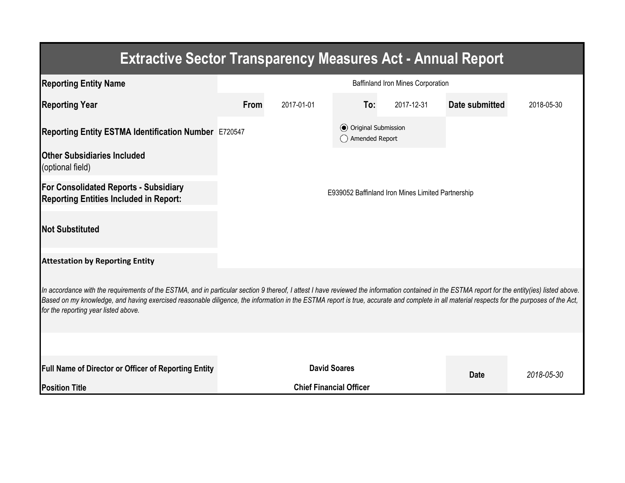| <b>Extractive Sector Transparency Measures Act - Annual Report</b>                                                                                                                                                                                                                                                                                                                                                                    |                                                   |                                |                                                |            |                |            |  |  |  |  |
|---------------------------------------------------------------------------------------------------------------------------------------------------------------------------------------------------------------------------------------------------------------------------------------------------------------------------------------------------------------------------------------------------------------------------------------|---------------------------------------------------|--------------------------------|------------------------------------------------|------------|----------------|------------|--|--|--|--|
| <b>Reporting Entity Name</b>                                                                                                                                                                                                                                                                                                                                                                                                          | <b>Baffinland Iron Mines Corporation</b>          |                                |                                                |            |                |            |  |  |  |  |
| <b>Reporting Year</b>                                                                                                                                                                                                                                                                                                                                                                                                                 | <b>From</b>                                       | 2017-01-01                     | To:                                            | 2017-12-31 | Date submitted | 2018-05-30 |  |  |  |  |
| Reporting Entity ESTMA Identification Number E720547                                                                                                                                                                                                                                                                                                                                                                                  |                                                   |                                | <b>●</b> Original Submission<br>Amended Report |            |                |            |  |  |  |  |
| <b>Other Subsidiaries Included</b><br>(optional field)                                                                                                                                                                                                                                                                                                                                                                                |                                                   |                                |                                                |            |                |            |  |  |  |  |
| For Consolidated Reports - Subsidiary<br><b>Reporting Entities Included in Report:</b>                                                                                                                                                                                                                                                                                                                                                | E939052 Baffinland Iron Mines Limited Partnership |                                |                                                |            |                |            |  |  |  |  |
| <b>Not Substituted</b>                                                                                                                                                                                                                                                                                                                                                                                                                |                                                   |                                |                                                |            |                |            |  |  |  |  |
| <b>Attestation by Reporting Entity</b>                                                                                                                                                                                                                                                                                                                                                                                                |                                                   |                                |                                                |            |                |            |  |  |  |  |
| In accordance with the requirements of the ESTMA, and in particular section 9 thereof, I attest I have reviewed the information contained in the ESTMA report for the entity(ies) listed above.<br>Based on my knowledge, and having exercised reasonable diligence, the information in the ESTMA report is true, accurate and complete in all material respects for the purposes of the Act,<br>for the reporting year listed above. |                                                   |                                |                                                |            |                |            |  |  |  |  |
|                                                                                                                                                                                                                                                                                                                                                                                                                                       |                                                   |                                |                                                |            |                |            |  |  |  |  |
| <b>Full Name of Director or Officer of Reporting Entity</b>                                                                                                                                                                                                                                                                                                                                                                           |                                                   | <b>David Soares</b>            | <b>Date</b>                                    | 2018-05-30 |                |            |  |  |  |  |
| <b>Position Title</b>                                                                                                                                                                                                                                                                                                                                                                                                                 |                                                   | <b>Chief Financial Officer</b> |                                                |            |                |            |  |  |  |  |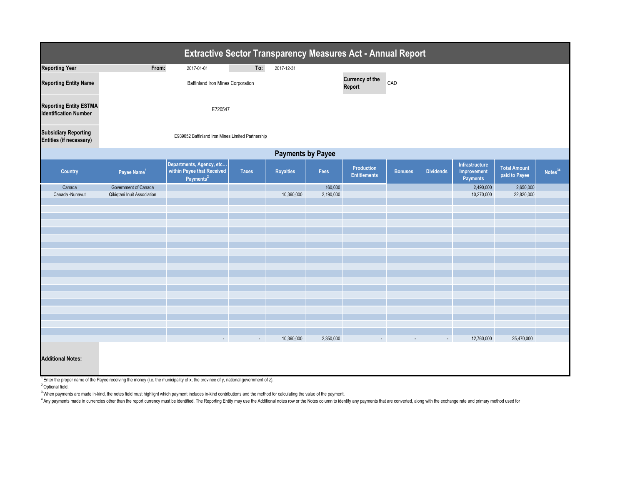

| <b>Extractive Sector Transparency Measures Act - Annual Report</b> |                                                   |                                                                                 |              |                  |             |                                          |                |                  |                                           |                                      |  |
|--------------------------------------------------------------------|---------------------------------------------------|---------------------------------------------------------------------------------|--------------|------------------|-------------|------------------------------------------|----------------|------------------|-------------------------------------------|--------------------------------------|--|
| <b>Reporting Year</b>                                              | From:                                             | 2017-01-01                                                                      | To:          | 2017-12-31       |             |                                          |                |                  |                                           |                                      |  |
| <b>Reporting Entity Name</b>                                       | <b>Baffinland Iron Mines Corporation</b>          |                                                                                 |              |                  |             | <b>Currency of the</b><br><b>Report</b>  | CAD            |                  |                                           |                                      |  |
| <b>Reporting Entity ESTMA</b><br><b>Identification Number</b>      |                                                   |                                                                                 |              |                  |             |                                          |                |                  |                                           |                                      |  |
| <b>Subsidiary Reporting</b><br><b>Entities (if necessary)</b>      | E939052 Baffinland Iron Mines Limited Partnership |                                                                                 |              |                  |             |                                          |                |                  |                                           |                                      |  |
| <b>Payments by Payee</b>                                           |                                                   |                                                                                 |              |                  |             |                                          |                |                  |                                           |                                      |  |
| <b>Country</b>                                                     | Payee Name <sup>1</sup>                           | Departments, Agency, etc<br>within Payee that Received<br>Payments <sup>2</sup> | <b>Taxes</b> | <b>Royalties</b> | <b>Fees</b> | <b>Production</b><br><b>Entitlements</b> | <b>Bonuses</b> | <b>Dividends</b> | Infrastructure<br>Improvement<br>Payments | <b>Total Amount</b><br>paid to Payee |  |
| Canada                                                             | Government of Canada                              |                                                                                 |              |                  | 160,000     |                                          |                |                  | 2,490,000                                 | 2,650,000                            |  |
| Canada -Nunavut                                                    | Qikiqtani Inuit Association                       |                                                                                 |              | 10,360,000       | 2,190,000   |                                          |                |                  | 10,270,000                                | 22,820,000                           |  |
|                                                                    |                                                   |                                                                                 |              |                  |             |                                          |                |                  |                                           |                                      |  |
|                                                                    |                                                   |                                                                                 |              |                  |             |                                          |                |                  |                                           |                                      |  |
|                                                                    |                                                   |                                                                                 |              |                  |             |                                          |                |                  |                                           |                                      |  |
|                                                                    |                                                   |                                                                                 |              |                  |             |                                          |                |                  |                                           |                                      |  |
|                                                                    |                                                   |                                                                                 |              |                  |             |                                          |                |                  |                                           |                                      |  |
|                                                                    |                                                   |                                                                                 |              |                  |             |                                          |                |                  |                                           |                                      |  |
|                                                                    |                                                   |                                                                                 |              |                  |             |                                          |                |                  |                                           |                                      |  |
|                                                                    |                                                   |                                                                                 |              |                  |             |                                          |                |                  |                                           |                                      |  |
|                                                                    |                                                   |                                                                                 |              |                  |             |                                          |                |                  |                                           |                                      |  |
|                                                                    |                                                   |                                                                                 |              |                  |             |                                          |                |                  |                                           |                                      |  |
|                                                                    |                                                   |                                                                                 |              |                  |             |                                          |                |                  |                                           |                                      |  |
|                                                                    |                                                   |                                                                                 |              |                  |             |                                          |                |                  |                                           |                                      |  |
|                                                                    |                                                   |                                                                                 |              |                  |             |                                          |                |                  |                                           |                                      |  |
|                                                                    |                                                   | $\sim$                                                                          | $\sim$       | 10,360,000       | 2,350,000   |                                          |                | $\sim$           | 12,760,000                                | 25,470,000                           |  |
| <b>Additional Notes:</b>                                           |                                                   |                                                                                 |              |                  |             |                                          |                |                  |                                           |                                      |  |

 $1$  Enter the proper name of the Payee receiving the money (i.e. the municipality of x, the province of y, national government of z).

<sup>2</sup> Optional field.

<sup>3</sup> When payments are made in-kind, the notes field must highlight which payment includes in-kind contributions and the method for calculating the value of the payment.

<sup>4</sup> Any payments made in currencies other than the report currency must be identified. The Reporting Entity may use the Additional notes row or the Notes column to identify any payments that are converted, along with the e